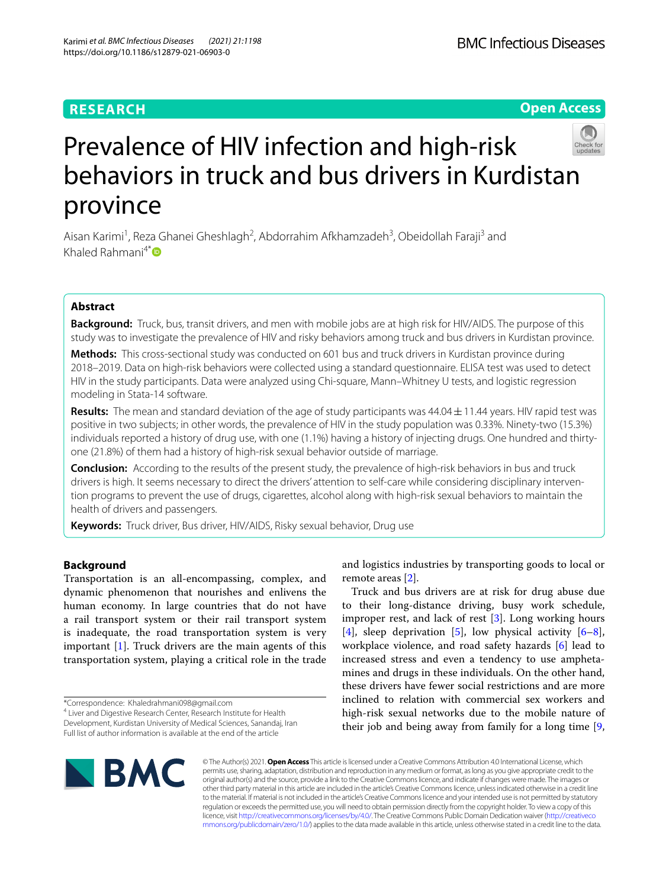## **RESEARCH**

**Open Access**



# Prevalence of HIV infection and high-risk behaviors in truck and bus drivers in Kurdistan province

Aisan Karimi<sup>1</sup>, Reza Ghanei Gheshlagh<sup>2</sup>, Abdorrahim Afkhamzadeh<sup>3</sup>, Obeidollah Faraji<sup>3</sup> and Khaled Rahmani $4^*$  $4^*$ 

## **Abstract**

**Background:** Truck, bus, transit drivers, and men with mobile jobs are at high risk for HIV/AIDS. The purpose of this study was to investigate the prevalence of HIV and risky behaviors among truck and bus drivers in Kurdistan province.

**Methods:** This cross-sectional study was conducted on 601 bus and truck drivers in Kurdistan province during 2018–2019. Data on high-risk behaviors were collected using a standard questionnaire. ELISA test was used to detect HIV in the study participants. Data were analyzed using Chi-square, Mann–Whitney U tests, and logistic regression modeling in Stata-14 software.

**Results:** The mean and standard deviation of the age of study participants was 44.04±11.44 years. HIV rapid test was positive in two subjects; in other words, the prevalence of HIV in the study population was 0.33%. Ninety-two (15.3%) individuals reported a history of drug use, with one (1.1%) having a history of injecting drugs. One hundred and thirtyone (21.8%) of them had a history of high-risk sexual behavior outside of marriage.

**Conclusion:** According to the results of the present study, the prevalence of high-risk behaviors in bus and truck drivers is high. It seems necessary to direct the drivers' attention to self-care while considering disciplinary intervention programs to prevent the use of drugs, cigarettes, alcohol along with high-risk sexual behaviors to maintain the health of drivers and passengers.

**Keywords:** Truck driver, Bus driver, HIV/AIDS, Risky sexual behavior, Drug use

## **Background**

Transportation is an all-encompassing, complex, and dynamic phenomenon that nourishes and enlivens the human economy. In large countries that do not have a rail transport system or their rail transport system is inadequate, the road transportation system is very important [[1\]](#page-5-0). Truck drivers are the main agents of this transportation system, playing a critical role in the trade

and logistics industries by transporting goods to local or remote areas [[2\]](#page-5-1).

Truck and bus drivers are at risk for drug abuse due to their long-distance driving, busy work schedule, improper rest, and lack of rest [[3\]](#page-5-2). Long working hours [[4\]](#page-5-3), sleep deprivation [\[5](#page-5-4)], low physical activity  $[6-8]$  $[6-8]$ , workplace violence, and road safety hazards [[6\]](#page-5-5) lead to increased stress and even a tendency to use amphetamines and drugs in these individuals. On the other hand, these drivers have fewer social restrictions and are more inclined to relation with commercial sex workers and high-risk sexual networks due to the mobile nature of their job and being away from family for a long time [\[9](#page-5-7),



© The Author(s) 2021. **Open Access** This article is licensed under a Creative Commons Attribution 4.0 International License, which permits use, sharing, adaptation, distribution and reproduction in any medium or format, as long as you give appropriate credit to the original author(s) and the source, provide a link to the Creative Commons licence, and indicate if changes were made. The images or other third party material in this article are included in the article's Creative Commons licence, unless indicated otherwise in a credit line to the material. If material is not included in the article's Creative Commons licence and your intended use is not permitted by statutory regulation or exceeds the permitted use, you will need to obtain permission directly from the copyright holder. To view a copy of this licence, visit [http://creativecommons.org/licenses/by/4.0/.](http://creativecommons.org/licenses/by/4.0/) The Creative Commons Public Domain Dedication waiver ([http://creativeco](http://creativecommons.org/publicdomain/zero/1.0/) [mmons.org/publicdomain/zero/1.0/](http://creativecommons.org/publicdomain/zero/1.0/)) applies to the data made available in this article, unless otherwise stated in a credit line to the data.

<sup>\*</sup>Correspondence: Khaledrahmani098@gmail.com

<sup>&</sup>lt;sup>4</sup> Liver and Digestive Research Center, Research Institute for Health Development, Kurdistan University of Medical Sciences, Sanandaj, Iran Full list of author information is available at the end of the article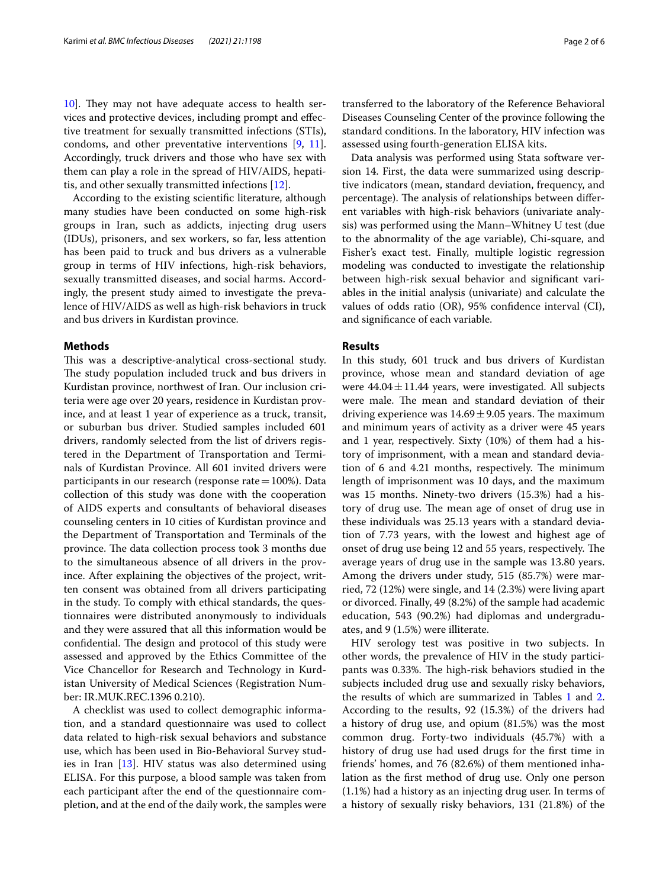[10\]](#page-5-8). They may not have adequate access to health services and protective devices, including prompt and efective treatment for sexually transmitted infections (STIs), condoms, and other preventative interventions [[9,](#page-5-7) [11](#page-5-9)]. Accordingly, truck drivers and those who have sex with them can play a role in the spread of HIV/AIDS, hepatitis, and other sexually transmitted infections [[12](#page-5-10)].

According to the existing scientifc literature, although many studies have been conducted on some high-risk groups in Iran, such as addicts, injecting drug users (IDUs), prisoners, and sex workers, so far, less attention has been paid to truck and bus drivers as a vulnerable group in terms of HIV infections, high-risk behaviors, sexually transmitted diseases, and social harms. Accordingly, the present study aimed to investigate the prevalence of HIV/AIDS as well as high-risk behaviors in truck and bus drivers in Kurdistan province.

#### **Methods**

This was a descriptive-analytical cross-sectional study. The study population included truck and bus drivers in Kurdistan province, northwest of Iran. Our inclusion criteria were age over 20 years, residence in Kurdistan province, and at least 1 year of experience as a truck, transit, or suburban bus driver. Studied samples included 601 drivers, randomly selected from the list of drivers registered in the Department of Transportation and Terminals of Kurdistan Province. All 601 invited drivers were participants in our research (response rate $=100%$ ). Data collection of this study was done with the cooperation of AIDS experts and consultants of behavioral diseases counseling centers in 10 cities of Kurdistan province and the Department of Transportation and Terminals of the province. The data collection process took 3 months due to the simultaneous absence of all drivers in the province. After explaining the objectives of the project, written consent was obtained from all drivers participating in the study. To comply with ethical standards, the questionnaires were distributed anonymously to individuals and they were assured that all this information would be confidential. The design and protocol of this study were assessed and approved by the Ethics Committee of the Vice Chancellor for Research and Technology in Kurdistan University of Medical Sciences (Registration Number: IR.MUK.REC.1396 0.210).

A checklist was used to collect demographic information, and a standard questionnaire was used to collect data related to high-risk sexual behaviors and substance use, which has been used in Bio-Behavioral Survey studies in Iran [\[13\]](#page-5-11). HIV status was also determined using ELISA. For this purpose, a blood sample was taken from each participant after the end of the questionnaire completion, and at the end of the daily work, the samples were

transferred to the laboratory of the Reference Behavioral Diseases Counseling Center of the province following the standard conditions. In the laboratory, HIV infection was assessed using fourth-generation ELISA kits.

Data analysis was performed using Stata software version 14. First, the data were summarized using descriptive indicators (mean, standard deviation, frequency, and percentage). The analysis of relationships between different variables with high-risk behaviors (univariate analysis) was performed using the Mann–Whitney U test (due to the abnormality of the age variable), Chi-square, and Fisher's exact test. Finally, multiple logistic regression modeling was conducted to investigate the relationship between high-risk sexual behavior and signifcant variables in the initial analysis (univariate) and calculate the values of odds ratio (OR), 95% confdence interval (CI), and signifcance of each variable.

#### **Results**

In this study, 601 truck and bus drivers of Kurdistan province, whose mean and standard deviation of age were  $44.04 \pm 11.44$  years, were investigated. All subjects were male. The mean and standard deviation of their driving experience was  $14.69 \pm 9.05$  years. The maximum and minimum years of activity as a driver were 45 years and 1 year, respectively. Sixty (10%) of them had a history of imprisonment, with a mean and standard deviation of 6 and 4.21 months, respectively. The minimum length of imprisonment was 10 days, and the maximum was 15 months. Ninety-two drivers (15.3%) had a history of drug use. The mean age of onset of drug use in these individuals was 25.13 years with a standard deviation of 7.73 years, with the lowest and highest age of onset of drug use being 12 and 55 years, respectively. The average years of drug use in the sample was 13.80 years. Among the drivers under study, 515 (85.7%) were married, 72 (12%) were single, and 14 (2.3%) were living apart or divorced. Finally, 49 (8.2%) of the sample had academic education, 543 (90.2%) had diplomas and undergraduates, and 9 (1.5%) were illiterate.

HIV serology test was positive in two subjects. In other words, the prevalence of HIV in the study participants was 0.33%. The high-risk behaviors studied in the subjects included drug use and sexually risky behaviors, the results of which are summarized in Tables  $1$  and  $2$ . According to the results, 92 (15.3%) of the drivers had a history of drug use, and opium (81.5%) was the most common drug. Forty-two individuals (45.7%) with a history of drug use had used drugs for the frst time in friends' homes, and 76 (82.6%) of them mentioned inhalation as the frst method of drug use. Only one person (1.1%) had a history as an injecting drug user. In terms of a history of sexually risky behaviors, 131 (21.8%) of the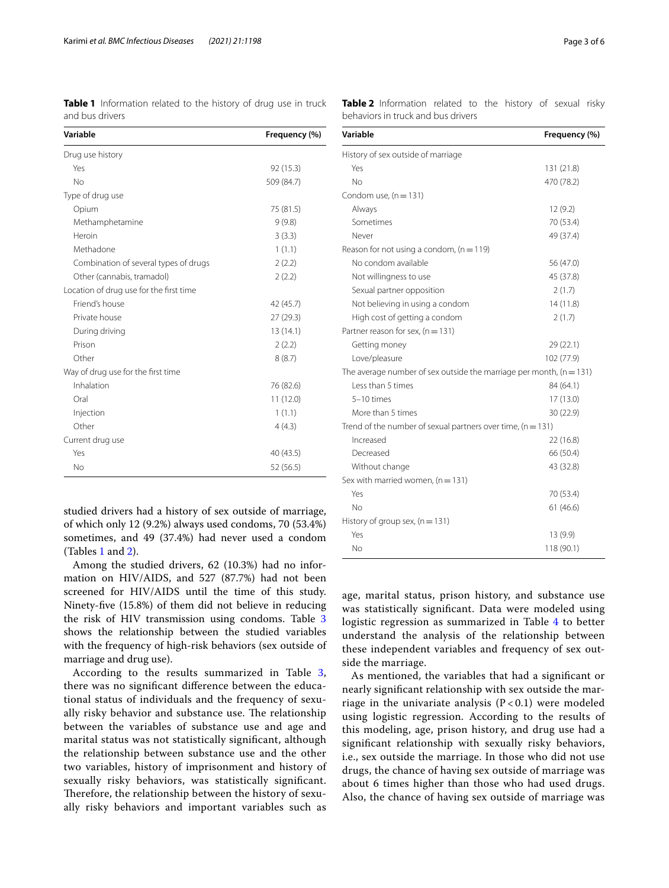<span id="page-2-0"></span>**Table 1** Information related to the history of drug use in truck and bus drivers

| Variable                                | Frequency (%) |
|-----------------------------------------|---------------|
| Drug use history                        |               |
| Yes                                     | 92 (15.3)     |
| No                                      | 509 (84.7)    |
| Type of drug use                        |               |
| Opium                                   | 75 (81.5)     |
| Methamphetamine                         | 9(9.8)        |
| Heroin                                  | 3(3.3)        |
| Methadone                               | 1(1.1)        |
| Combination of several types of drugs   | 2(2.2)        |
| Other (cannabis, tramadol)              | 2(2.2)        |
| Location of drug use for the first time |               |
| Friend's house                          | 42 (45.7)     |
| Private house                           | 27(29.3)      |
| During driving                          | 13(14.1)      |
| Prison                                  | 2(2.2)        |
| Other                                   | 8(8.7)        |
| Way of drug use for the first time      |               |
| Inhalation                              | 76 (82.6)     |
| Oral                                    | 11 (12.0)     |
| Injection                               | 1(1.1)        |
| Other                                   | 4(4.3)        |
| Current drug use                        |               |
| Yes                                     | 40 (43.5)     |
| No                                      | 52 (56.5)     |

studied drivers had a history of sex outside of marriage, of which only 12 (9.2%) always used condoms, 70 (53.4%) sometimes, and 49 (37.4%) had never used a condom (Tables [1](#page-2-0) and [2](#page-2-1)).

Among the studied drivers, 62 (10.3%) had no information on HIV/AIDS, and 527 (87.7%) had not been screened for HIV/AIDS until the time of this study. Ninety-fve (15.8%) of them did not believe in reducing the risk of HIV transmission using condoms. Table [3](#page-3-0) shows the relationship between the studied variables with the frequency of high-risk behaviors (sex outside of marriage and drug use).

According to the results summarized in Table [3](#page-3-0), there was no signifcant diference between the educational status of individuals and the frequency of sexually risky behavior and substance use. The relationship between the variables of substance use and age and marital status was not statistically signifcant, although the relationship between substance use and the other two variables, history of imprisonment and history of sexually risky behaviors, was statistically signifcant. Therefore, the relationship between the history of sexually risky behaviors and important variables such as <span id="page-2-1"></span>**Table 2** Information related to the history of sexual risky behaviors in truck and bus drivers

| Variable                                                              | Frequency (%) |  |  |  |  |
|-----------------------------------------------------------------------|---------------|--|--|--|--|
| History of sex outside of marriage                                    |               |  |  |  |  |
| Yes                                                                   | 131 (21.8)    |  |  |  |  |
| No                                                                    | 470 (78.2)    |  |  |  |  |
| Condom use, $(n = 131)$                                               |               |  |  |  |  |
| Always                                                                | 12(9.2)       |  |  |  |  |
| Sometimes                                                             | 70 (53.4)     |  |  |  |  |
| Never                                                                 | 49 (37.4)     |  |  |  |  |
| Reason for not using a condom, $(n = 119)$                            |               |  |  |  |  |
| No condom available                                                   | 56 (47.0)     |  |  |  |  |
| Not willingness to use                                                | 45 (37.8)     |  |  |  |  |
| Sexual partner opposition                                             | 2(1.7)        |  |  |  |  |
| Not believing in using a condom                                       | 14(11.8)      |  |  |  |  |
| High cost of getting a condom                                         | 2(1.7)        |  |  |  |  |
| Partner reason for sex, $(n = 131)$                                   |               |  |  |  |  |
| Getting money                                                         | 29 (22.1)     |  |  |  |  |
| Love/pleasure                                                         | 102 (77.9)    |  |  |  |  |
| The average number of sex outside the marriage per month, $(n = 131)$ |               |  |  |  |  |
| Less than 5 times                                                     | 84 (64.1)     |  |  |  |  |
| 5-10 times                                                            | 17(13.0)      |  |  |  |  |
| More than 5 times                                                     | 30 (22.9)     |  |  |  |  |
| Trend of the number of sexual partners over time, $(n = 131)$         |               |  |  |  |  |
| Increased                                                             | 22 (16.8)     |  |  |  |  |
| Decreased                                                             | 66 (50.4)     |  |  |  |  |
| Without change                                                        | 43 (32.8)     |  |  |  |  |
| Sex with married women, $(n = 131)$                                   |               |  |  |  |  |
| Yes                                                                   | 70 (53.4)     |  |  |  |  |
| No                                                                    | 61 (46.6)     |  |  |  |  |
| History of group sex, $(n = 131)$                                     |               |  |  |  |  |
| Yes                                                                   | 13(9.9)       |  |  |  |  |
| No                                                                    | 118 (90.1)    |  |  |  |  |

age, marital status, prison history, and substance use was statistically signifcant. Data were modeled using logistic regression as summarized in Table [4](#page-3-1) to better understand the analysis of the relationship between these independent variables and frequency of sex outside the marriage.

As mentioned, the variables that had a signifcant or nearly signifcant relationship with sex outside the marriage in the univariate analysis  $(P < 0.1)$  were modeled using logistic regression. According to the results of this modeling, age, prison history, and drug use had a signifcant relationship with sexually risky behaviors, i.e., sex outside the marriage. In those who did not use drugs, the chance of having sex outside of marriage was about 6 times higher than those who had used drugs. Also, the chance of having sex outside of marriage was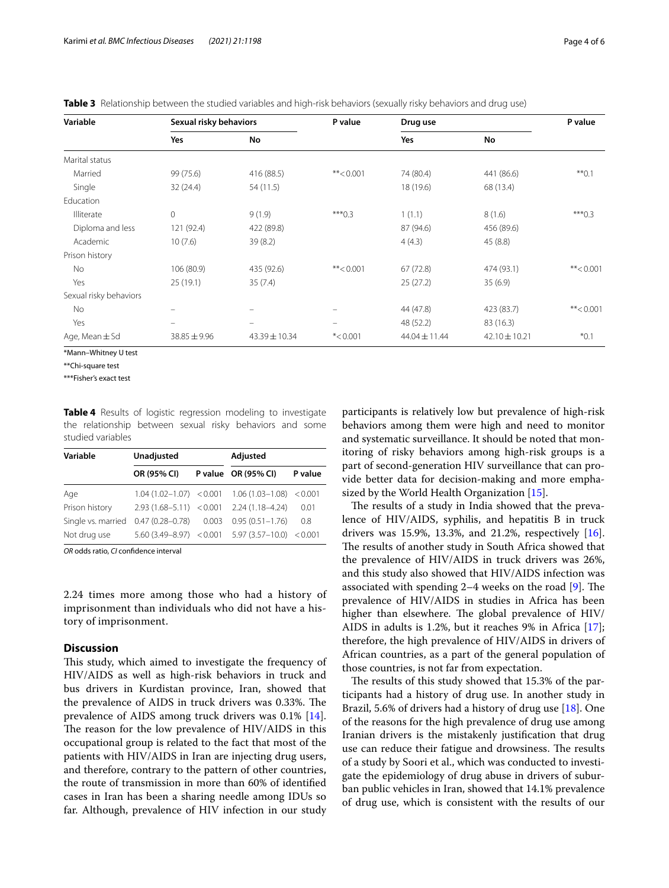<span id="page-3-0"></span>

|  | Table 3 Relationship between the studied variables and high-risk behaviors (sexually risky behaviors and drug use) |  |
|--|--------------------------------------------------------------------------------------------------------------------|--|
|  |                                                                                                                    |  |

| Variable               | Sexual risky behaviors   |             | P value     | Drug use      |               | P value     |
|------------------------|--------------------------|-------------|-------------|---------------|---------------|-------------|
|                        | Yes                      | No          |             | Yes           | No            |             |
| Marital status         |                          |             |             |               |               |             |
| Married                | 99 (75.6)                | 416 (88.5)  | **< $0.001$ | 74 (80.4)     | 441 (86.6)    | $**0.1$     |
| Single                 | 32 (24.4)                | 54(11.5)    |             | 18 (19.6)     | 68 (13.4)     |             |
| Education              |                          |             |             |               |               |             |
| Illiterate             | $\mathbf{0}$             | 9(1.9)      | $***0.3$    | 1(1.1)        | 8(1.6)        | $***0.3$    |
| Diploma and less       | 121 (92.4)               | 422 (89.8)  |             | 87 (94.6)     | 456 (89.6)    |             |
| Academic               | 10(7.6)                  | 39(8.2)     |             | 4(4.3)        | 45(8.8)       |             |
| Prison history         |                          |             |             |               |               |             |
| No                     | 106 (80.9)               | 435 (92.6)  | **< $0.001$ | 67 (72.8)     | 474 (93.1)    | **< $0.001$ |
| Yes                    | 25(19.1)                 | 35(7.4)     |             | 25(27.2)      | 35(6.9)       |             |
| Sexual risky behaviors |                          |             |             |               |               |             |
| No                     | -                        |             |             | 44 (47.8)     | 423 (83.7)    | **< $0.001$ |
| Yes                    | $\overline{\phantom{0}}$ | $\equiv$    |             | 48 (52.2)     | 83 (16.3)     |             |
| Age, Mean $\pm$ Sd     | $38.85 \pm 9.96$         | 43.39±10.34 | $*$ <0.001  | 44.04 ± 11.44 | 42.10 ± 10.21 | $*0.1$      |

\*Mann–Whitney U test

\*\*Chi-square test

\*\*\*Fisher's exact test

<span id="page-3-1"></span>**Table 4** Results of logistic regression modeling to investigate the relationship between sexual risky behaviors and some studied variables

| Variable           | Unadjusted                  | Adjusted                                            |         |  |
|--------------------|-----------------------------|-----------------------------------------------------|---------|--|
|                    | OR (95% CI)                 | P value OR (95% CI)                                 | P value |  |
| Age                |                             | $1.04(1.02-1.07) < 0.001$ $1.06(1.03-1.08) < 0.001$ |         |  |
| Prison history     | $2.93(1.68 - 5.11) < 0.001$ | $2.24(1.18 - 4.24)$                                 | 0.01    |  |
| Single vs. married | $0.47(0.28 - 0.78)$ 0.003   | $0.95(0.51 - 1.76)$                                 | 0.8     |  |
| Not drug use       |                             | $5.60(3.49-8.97)$ < 0.001 $5.97(3.57-10.0)$ < 0.001 |         |  |

*OR* odds ratio, *CI* confdence interval

2.24 times more among those who had a history of imprisonment than individuals who did not have a history of imprisonment.

## **Discussion**

This study, which aimed to investigate the frequency of HIV/AIDS as well as high-risk behaviors in truck and bus drivers in Kurdistan province, Iran, showed that the prevalence of AIDS in truck drivers was 0.33%. The prevalence of AIDS among truck drivers was 0.1% [\[14](#page-5-12)]. The reason for the low prevalence of HIV/AIDS in this occupational group is related to the fact that most of the patients with HIV/AIDS in Iran are injecting drug users, and therefore, contrary to the pattern of other countries, the route of transmission in more than 60% of identifed cases in Iran has been a sharing needle among IDUs so far. Although, prevalence of HIV infection in our study

participants is relatively low but prevalence of high-risk behaviors among them were high and need to monitor and systematic surveillance. It should be noted that monitoring of risky behaviors among high-risk groups is a part of second-generation HIV surveillance that can provide better data for decision-making and more empha-sized by the World Health Organization [[15\]](#page-5-13).

The results of a study in India showed that the prevalence of HIV/AIDS, syphilis, and hepatitis B in truck drivers was 15.9%, 13.3%, and 21.2%, respectively [\[16](#page-5-14)]. The results of another study in South Africa showed that the prevalence of HIV/AIDS in truck drivers was 26%, and this study also showed that HIV/AIDS infection was associated with spending  $2-4$  weeks on the road  $[9]$  $[9]$ . The prevalence of HIV/AIDS in studies in Africa has been higher than elsewhere. The global prevalence of HIV/ AIDS in adults is 1.2%, but it reaches 9% in Africa [\[17](#page-5-15)]; therefore, the high prevalence of HIV/AIDS in drivers of African countries, as a part of the general population of those countries, is not far from expectation.

The results of this study showed that 15.3% of the participants had a history of drug use. In another study in Brazil, 5.6% of drivers had a history of drug use [\[18](#page-5-16)]. One of the reasons for the high prevalence of drug use among Iranian drivers is the mistakenly justifcation that drug use can reduce their fatigue and drowsiness. The results of a study by Soori et al., which was conducted to investigate the epidemiology of drug abuse in drivers of suburban public vehicles in Iran, showed that 14.1% prevalence of drug use, which is consistent with the results of our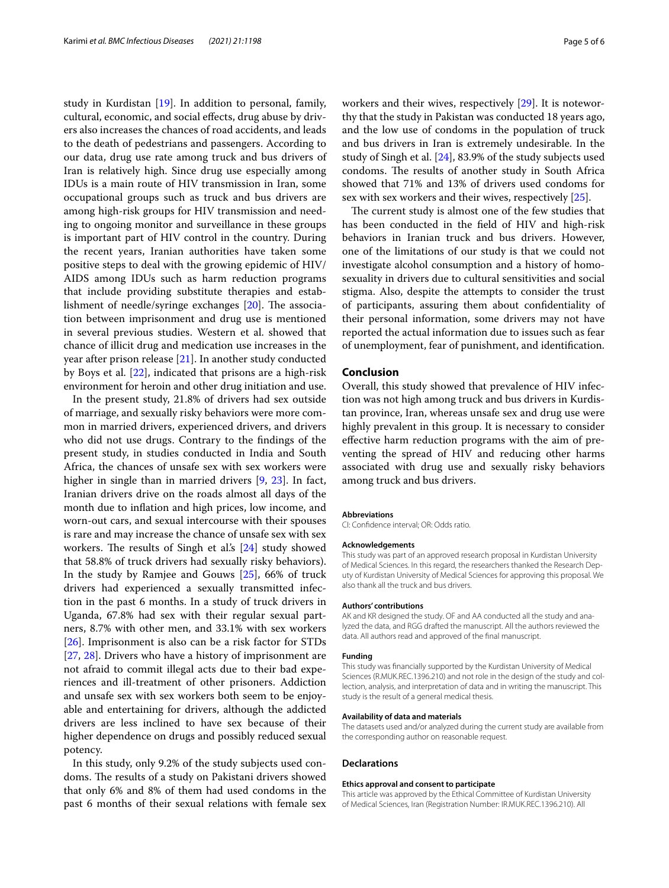study in Kurdistan [\[19](#page-5-17)]. In addition to personal, family, cultural, economic, and social efects, drug abuse by drivers also increases the chances of road accidents, and leads to the death of pedestrians and passengers. According to our data, drug use rate among truck and bus drivers of Iran is relatively high. Since drug use especially among IDUs is a main route of HIV transmission in Iran, some occupational groups such as truck and bus drivers are among high-risk groups for HIV transmission and needing to ongoing monitor and surveillance in these groups is important part of HIV control in the country. During the recent years, Iranian authorities have taken some positive steps to deal with the growing epidemic of HIV/ AIDS among IDUs such as harm reduction programs that include providing substitute therapies and establishment of needle/syringe exchanges  $[20]$  $[20]$ . The association between imprisonment and drug use is mentioned in several previous studies. Western et al. showed that chance of illicit drug and medication use increases in the year after prison release [[21\]](#page-5-19). In another study conducted by Boys et al. [[22](#page-5-20)], indicated that prisons are a high-risk environment for heroin and other drug initiation and use.

In the present study, 21.8% of drivers had sex outside of marriage, and sexually risky behaviors were more common in married drivers, experienced drivers, and drivers who did not use drugs. Contrary to the fndings of the present study, in studies conducted in India and South Africa, the chances of unsafe sex with sex workers were higher in single than in married drivers [[9,](#page-5-7) [23\]](#page-5-21). In fact, Iranian drivers drive on the roads almost all days of the month due to infation and high prices, low income, and worn-out cars, and sexual intercourse with their spouses is rare and may increase the chance of unsafe sex with sex workers. The results of Singh et al.'s  $[24]$  $[24]$  $[24]$  study showed that 58.8% of truck drivers had sexually risky behaviors). In the study by Ramjee and Gouws [\[25](#page-5-23)], 66% of truck drivers had experienced a sexually transmitted infection in the past 6 months. In a study of truck drivers in Uganda, 67.8% had sex with their regular sexual partners, 8.7% with other men, and 33.1% with sex workers [[26\]](#page-5-24). Imprisonment is also can be a risk factor for STDs [[27,](#page-5-25) [28\]](#page-5-26). Drivers who have a history of imprisonment are not afraid to commit illegal acts due to their bad experiences and ill-treatment of other prisoners. Addiction and unsafe sex with sex workers both seem to be enjoyable and entertaining for drivers, although the addicted drivers are less inclined to have sex because of their higher dependence on drugs and possibly reduced sexual potency.

In this study, only 9.2% of the study subjects used condoms. The results of a study on Pakistani drivers showed that only 6% and 8% of them had used condoms in the past 6 months of their sexual relations with female sex workers and their wives, respectively [[29\]](#page-5-27). It is noteworthy that the study in Pakistan was conducted 18 years ago, and the low use of condoms in the population of truck and bus drivers in Iran is extremely undesirable. In the study of Singh et al. [\[24\]](#page-5-22), 83.9% of the study subjects used condoms. The results of another study in South Africa showed that 71% and 13% of drivers used condoms for sex with sex workers and their wives, respectively [\[25](#page-5-23)].

The current study is almost one of the few studies that has been conducted in the feld of HIV and high-risk behaviors in Iranian truck and bus drivers. However, one of the limitations of our study is that we could not investigate alcohol consumption and a history of homosexuality in drivers due to cultural sensitivities and social stigma. Also, despite the attempts to consider the trust of participants, assuring them about confdentiality of their personal information, some drivers may not have reported the actual information due to issues such as fear of unemployment, fear of punishment, and identifcation.

## **Conclusion**

Overall, this study showed that prevalence of HIV infection was not high among truck and bus drivers in Kurdistan province, Iran, whereas unsafe sex and drug use were highly prevalent in this group. It is necessary to consider efective harm reduction programs with the aim of preventing the spread of HIV and reducing other harms associated with drug use and sexually risky behaviors among truck and bus drivers.

#### **Abbreviations**

CI: Confdence interval; OR: Odds ratio.

#### **Acknowledgements**

This study was part of an approved research proposal in Kurdistan University of Medical Sciences. In this regard, the researchers thanked the Research Deputy of Kurdistan University of Medical Sciences for approving this proposal. We also thank all the truck and bus drivers.

#### **Authors' contributions**

AK and KR designed the study. OF and AA conducted all the study and analyzed the data, and RGG drafted the manuscript. All the authors reviewed the data. All authors read and approved of the fnal manuscript.

#### **Funding**

This study was fnancially supported by the Kurdistan University of Medical Sciences (R.MUK.REC.1396.210) and not role in the design of the study and collection, analysis, and interpretation of data and in writing the manuscript. This study is the result of a general medical thesis.

#### **Availability of data and materials**

The datasets used and/or analyzed during the current study are available from the corresponding author on reasonable request.

#### **Declarations**

#### **Ethics approval and consent to participate**

This article was approved by the Ethical Committee of Kurdistan University of Medical Sciences, Iran (Registration Number: IR.MUK.REC.1396.210). All